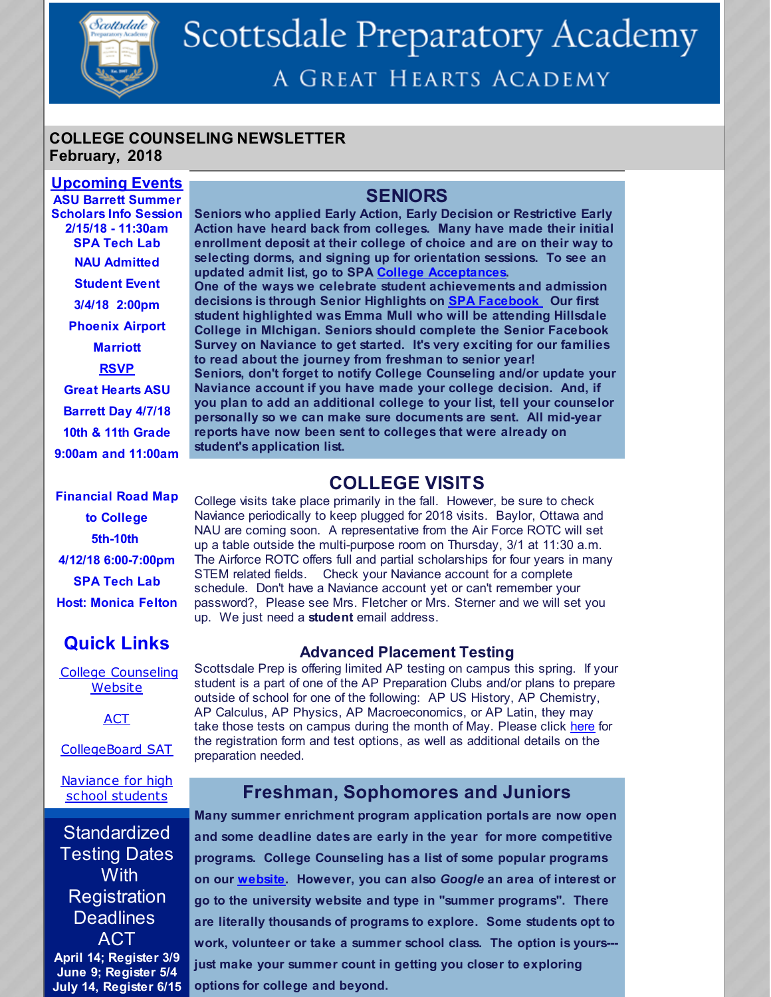

### **COLLEGE COUNSELING NEWSLETTER February, 2018**

**Upcoming Events ASU Barrett Summer Scholars Info Session 2/15/18 - 11:30am SPA Tech Lab NAU Admitted Student Event 3/4/18 2:00pm Phoenix Airport Marriott [RSVP](https://nau.edu/admission/nau-comes-to-you/) Great Hearts ASU Barrett Day 4/7/18 10th & 11th Grade 9:00am and 11:00am**

## **SENIORS**

**Seniors who applied Early Action, Early Decision or Restrictive Early Action have heard back from colleges. Many have made their initial enrollment deposit at their college of choice and are on their way to selecting dorms, and signing up for orientation sessions. To see an updated admit list, go to SPA College [Acceptances](http://scottsdaleprep.greatheartsacademies.org/wp-content/uploads/sites/5/2017/12/CollegeAcceptances.pdf). One of the ways we celebrate student achievements and admission decisions is through Senior Highlights on SPA [Facebook](https://www.facebook.com/ScottsdalePrep/) Our first student highlighted was Emma Mull who will be attending Hillsdale College in MIchigan. Seniors should complete the Senior Facebook Survey on Naviance to get started. It's very exciting for our families to read about the journey from freshman to senior year! Seniors, don't forget to notify College Counseling and/or update your Naviance account if you have made your college decision. And, if you plan to add an additional college to your list, tell your counselor personally so we can make sure documents are sent. All mid-year reports have now been sent to colleges that were already on student's application list.**

## **COLLEGE VISITS**

**Financial Road Map to College 5th-10th 4/12/18 6:00-7:00pm SPA Tech Lab Host: Monica Felton**

## **Quick Links**

College [Counseling](http://scottsdaleprep.greatheartsacademies.org/academics/college-counseling/) Website

[ACT](http://www.act.org/)

[CollegeBoard](https://collegereadiness.collegeboard.org/sat) SAT

[Naviance](https://www.naviance.com/) for high school students

**Standardized** Testing Dates **With Registration Deadlines ACT** 

**April 14; Register 3/9 June 9; Register 5/4 July 14, Register 6/15**

College visits take place primarily in the fall. However, be sure to check Naviance periodically to keep plugged for 2018 visits. Baylor, Ottawa and NAU are coming soon. A representative from the Air Force ROTC will set up a table outside the multi-purpose room on Thursday, 3/1 at 11:30 a.m. The Airforce ROTC offers full and partial scholarships for four years in many STEM related fields. Check your Naviance account for a complete schedule. Don't have a Naviance account yet or can't remember your password?, Please see Mrs. Fletcher or Mrs. Sterner and we will set you up. We just need a **student** email address.

### **Advanced Placement Testing**

Scottsdale Prep is offering limited AP testing on campus this spring. If your student is a part of one of the AP Preparation Clubs and/or plans to prepare outside of school for one of the following: AP US History, AP Chemistry, AP Calculus, AP Physics, AP Macroeconomics, or AP Latin, they may take those tests on campus during the month of May. Please click [here](http://files.constantcontact.com/19fa27d8301/4ffc72d9-e392-4b4d-b8b9-28ed8fd78a2a.pdf) for the registration form and test options, as well as additional details on the preparation needed.

## **Freshman, Sophomores and Juniors**

**Many summer enrichment program application portals are now open and some deadline dates are early in the year for more competitive programs. College Counseling has a list of some popular programs on our [website](http://scottsdaleprep.greatheartsacademies.org/wp-content/uploads/sites/5/2017/01/Summer-Programs-Competitions-and-Opportunities-Extensive-SPA.pdf). However, you can also** *Google* **an area of interest or go to the university website and type in "summer programs". There are literally thousands of programs to explore. Some students opt to work, volunteer or take a summer school class. The option is yours-- just make your summer count in getting you closer to exploring options for college and beyond.**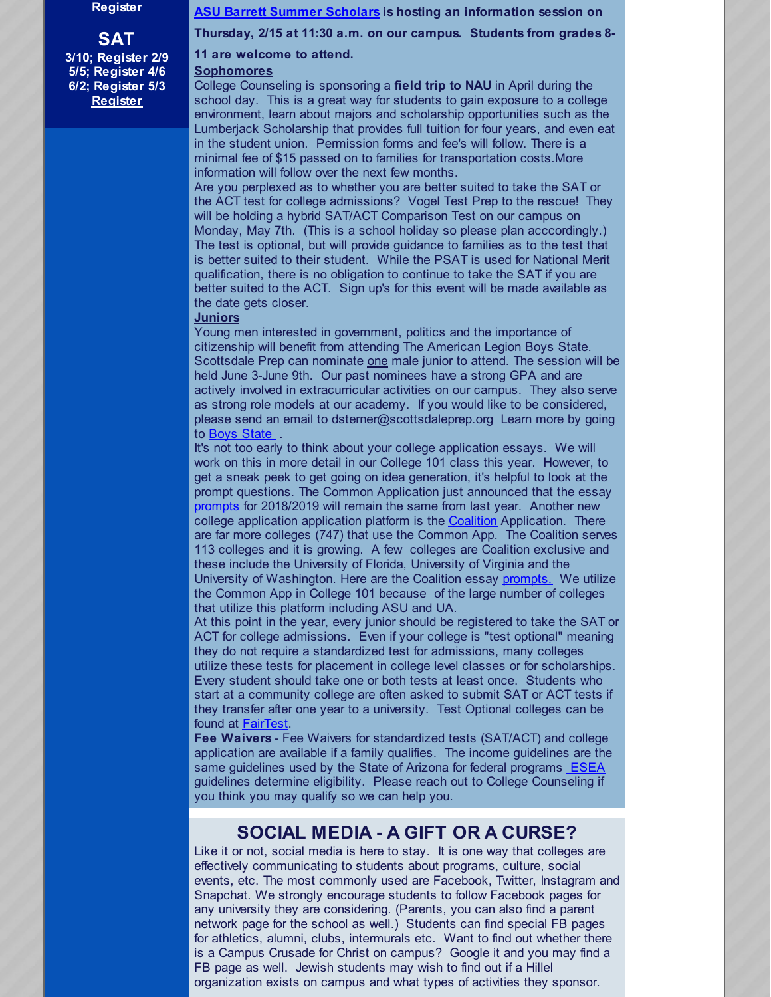### **[Register](http://www.act.org/)**

# **SAT**

**3/10; Register 2/9 5/5; Register 4/6 6/2; Register 5/3 [Register](https://collegereadiness.collegeboard.org/sat/register)**

### **ASU Barrett [Summer](https://eoss.asu.edu/bss) Scholars is hosting an information session on**

**Thursday, 2/15 at 11:30 a.m. on our campus. Students from grades 8-**

### **11 are welcome to attend.**

#### **Sophomores**

College Counseling is sponsoring a **field trip to NAU** in April during the school day. This is a great way for students to gain exposure to a college environment, learn about majors and scholarship opportunities such as the Lumberjack Scholarship that provides full tuition for four years, and even eat in the student union. Permission forms and fee's will follow. There is a minimal fee of \$15 passed on to families for transportation costs.More information will follow over the next few months.

Are you perplexed as to whether you are better suited to take the SAT or the ACT test for college admissions? Vogel Test Prep to the rescue! They will be holding a hybrid SAT/ACT Comparison Test on our campus on Monday, May 7th. (This is a school holiday so please plan acccordingly.) The test is optional, but will provide guidance to families as to the test that is better suited to their student. While the PSAT is used for National Merit qualification, there is no obligation to continue to take the SAT if you are better suited to the ACT. Sign up's for this event will be made available as the date gets closer.

#### **Juniors**

Young men interested in government, politics and the importance of citizenship will benefit from attending The American Legion Boys State. Scottsdale Prep can nominate one male junior to attend. The session will be held June 3-June 9th. Our past nominees have a strong GPA and are actively involved in extracurricular activities on our campus. They also serve as strong role models at our academy. If you would like to be considered, please send an email to dsterner@scottsdaleprep.org Learn more by going to Boys [State](http://arizonaboysstate.net/) .

It's not too early to think about your college application essays. We will work on this in more detail in our College 101 class this year. However, to get a sneak peek to get going on idea generation, it's helpful to look at the prompt questions. The Common Application just announced that the essay [prompts](http://www.commonapp.org/whats-appening/application-updates/2018-2019-common-application-essay-prompts) for 2018/2019 will remain the same from last year. Another new college application application platform is the [Coalition](http://www.coalitionforcollegeaccess.org/) Application. There are far more colleges (747) that use the Common App. The Coalition serves 113 colleges and it is growing. A few colleges are Coalition exclusive and these include the University of Florida, University of Virginia and the University of Washington. Here are the Coalition essay [prompts.](http://www.coalitionforcollegeaccess.org/essays.html) We utilize the Common App in College 101 because of the large number of colleges that utilize this platform including ASU and UA.

At this point in the year, every junior should be registered to take the SAT or ACT for college admissions. Even if your college is "test optional" meaning they do not require a standardized test for admissions, many colleges utilize these tests for placement in college level classes or for scholarships. Every student should take one or both tests at least once. Students who start at a community college are often asked to submit SAT or ACT tests if they transfer after one year to a university. Test Optional colleges can be found at [FairTest](https://www.fairtest.org/university/optional).

**Fee Waivers** - Fee Waivers for standardized tests (SAT/ACT) and college application are available if a family qualifies. The income guidelines are the same guidelines used by the State of Arizona for federal programs [ESEA](https://cms.azed.gov/home/GetDocumentFile?id=5941993b3217e10ed45cee40) guidelines determine eligibility. Please reach out to College Counseling if you think you may qualify so we can help you.

## **SOCIAL MEDIA - A GIFT OR A CURSE?**

Like it or not, social media is here to stay. It is one way that colleges are effectively communicating to students about programs, culture, social events, etc. The most commonly used are Facebook, Twitter, Instagram and Snapchat. We strongly encourage students to follow Facebook pages for any university they are considering. (Parents, you can also find a parent network page for the school as well.) Students can find special FB pages for athletics, alumni, clubs, intermurals etc. Want to find out whether there is a Campus Crusade for Christ on campus? Google it and you may find a FB page as well. Jewish students may wish to find out if a Hillel organization exists on campus and what types of activities they sponsor.